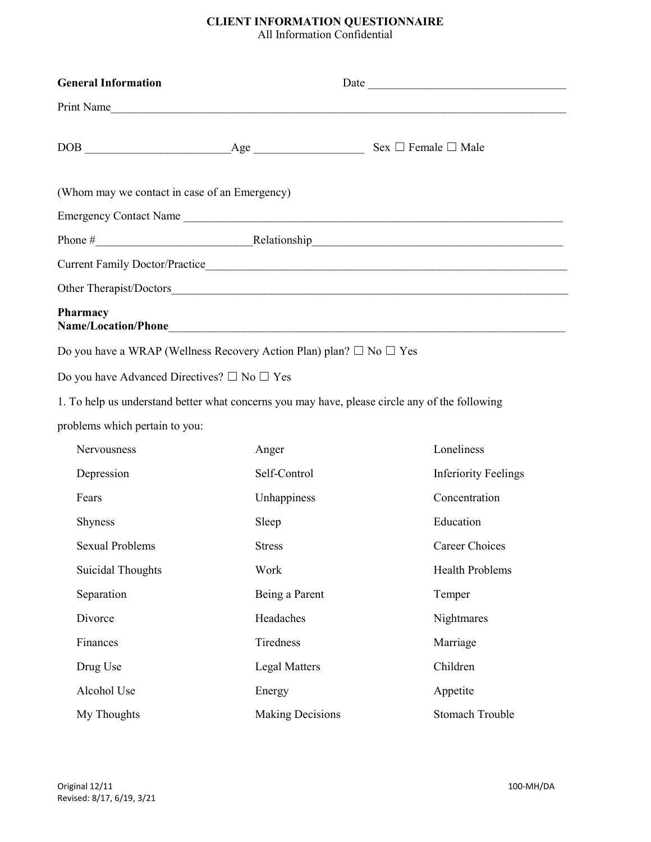## CLIENT INFORMATION QUESTIONNAIRE

All Information Confidential

| <b>General Information</b>                                                    |                         |                                                                                                |  |  |
|-------------------------------------------------------------------------------|-------------------------|------------------------------------------------------------------------------------------------|--|--|
|                                                                               |                         | Print Name                                                                                     |  |  |
|                                                                               |                         |                                                                                                |  |  |
| (Whom may we contact in case of an Emergency)                                 |                         |                                                                                                |  |  |
|                                                                               |                         | Emergency Contact Name                                                                         |  |  |
|                                                                               |                         |                                                                                                |  |  |
|                                                                               |                         |                                                                                                |  |  |
|                                                                               |                         |                                                                                                |  |  |
| Pharmacy                                                                      |                         |                                                                                                |  |  |
| Do you have a WRAP (Wellness Recovery Action Plan) plan? $\Box$ No $\Box$ Yes |                         |                                                                                                |  |  |
| Do you have Advanced Directives? $\square$ No $\square$ Yes                   |                         |                                                                                                |  |  |
|                                                                               |                         | 1. To help us understand better what concerns you may have, please circle any of the following |  |  |
| problems which pertain to you:                                                |                         |                                                                                                |  |  |
| Nervousness                                                                   | Anger                   | Loneliness                                                                                     |  |  |
| Depression                                                                    | Self-Control            | <b>Inferiority Feelings</b>                                                                    |  |  |
| Fears                                                                         | Unhappiness             | Concentration                                                                                  |  |  |
| <b>Shyness</b>                                                                | Sleep                   | Education                                                                                      |  |  |
| <b>Sexual Problems</b>                                                        | <b>Stress</b>           | Career Choices                                                                                 |  |  |
| <b>Suicidal Thoughts</b>                                                      | Work                    | Health Problems                                                                                |  |  |
| Separation                                                                    | Being a Parent          | Temper                                                                                         |  |  |
| Divorce                                                                       | Headaches               | Nightmares                                                                                     |  |  |
| Finances                                                                      | Tiredness               | Marriage                                                                                       |  |  |
| Drug Use                                                                      | <b>Legal Matters</b>    | Children                                                                                       |  |  |
| Alcohol Use                                                                   | Energy                  | Appetite                                                                                       |  |  |
| My Thoughts                                                                   | <b>Making Decisions</b> | <b>Stomach Trouble</b>                                                                         |  |  |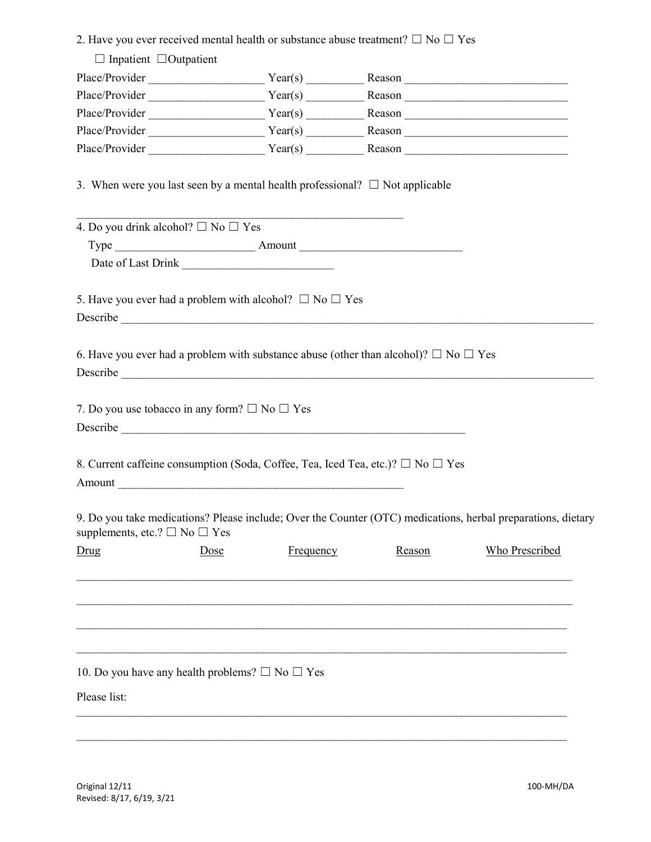|                                                                                 |      |           | 2. Have you ever received mental health or substance abuse treatment? $\Box$ No $\Box$ Yes           |                                                                                                              |
|---------------------------------------------------------------------------------|------|-----------|------------------------------------------------------------------------------------------------------|--------------------------------------------------------------------------------------------------------------|
| $\Box$ Inpatient $\Box$ Outpatient                                              |      |           |                                                                                                      |                                                                                                              |
|                                                                                 |      |           |                                                                                                      |                                                                                                              |
|                                                                                 |      |           |                                                                                                      |                                                                                                              |
|                                                                                 |      |           |                                                                                                      |                                                                                                              |
|                                                                                 |      |           |                                                                                                      |                                                                                                              |
|                                                                                 |      |           |                                                                                                      |                                                                                                              |
|                                                                                 |      |           | 3. When were you last seen by a mental health professional? $\Box$ Not applicable                    |                                                                                                              |
| 4. Do you drink alcohol? $\Box$ No $\Box$ Yes                                   |      |           |                                                                                                      |                                                                                                              |
|                                                                                 |      |           |                                                                                                      |                                                                                                              |
|                                                                                 |      |           |                                                                                                      |                                                                                                              |
| 5. Have you ever had a problem with alcohol? $\Box$ No $\Box$ Yes               |      |           |                                                                                                      |                                                                                                              |
|                                                                                 |      |           | 6. Have you ever had a problem with substance abuse (other than alcohol)? $\square$ No $\square$ Yes |                                                                                                              |
| 7. Do you use tobacco in any form? $\Box$ No $\Box$ Yes                         |      |           |                                                                                                      |                                                                                                              |
| Amount                                                                          |      |           | 8. Current caffeine consumption (Soda, Coffee, Tea, Iced Tea, etc.)? □ No □ Yes                      |                                                                                                              |
| supplements, etc.? $\square$ No $\square$ Yes                                   |      |           |                                                                                                      | 9. Do you take medications? Please include; Over the Counter (OTC) medications, herbal preparations, dietary |
| Drug                                                                            | Dose | Frequency | Reason                                                                                               | <b>Who Prescribed</b>                                                                                        |
|                                                                                 |      |           |                                                                                                      |                                                                                                              |
| 10. Do you have any health problems? $\square$ No $\square$ Yes<br>Please list: |      |           |                                                                                                      |                                                                                                              |
|                                                                                 |      |           |                                                                                                      |                                                                                                              |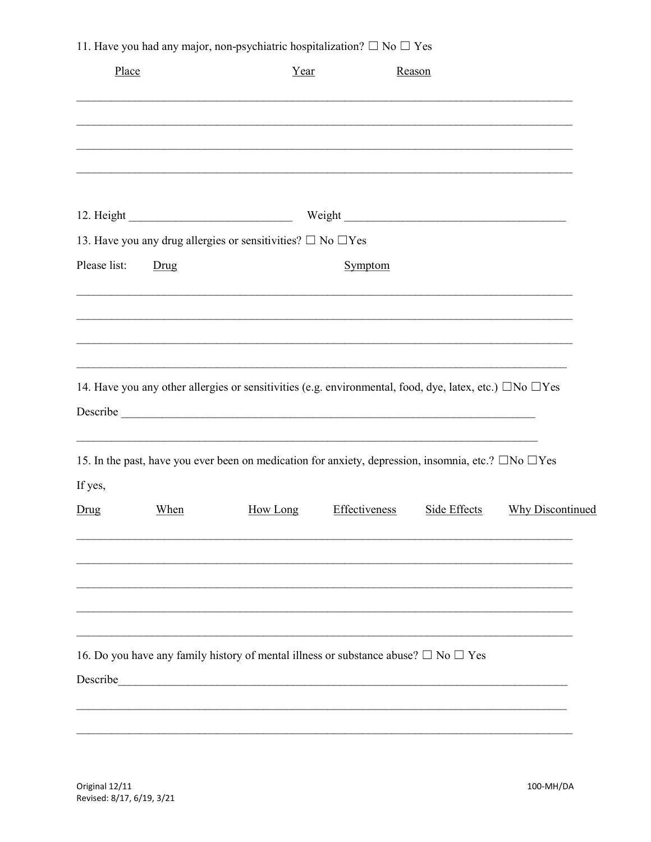11. Have you had any major, non-psychiatric hospitalization?  $\Box$  No  $\Box$  Yes

| Place                |      | Year                                                                                                                  |               | Reason       |                         |  |
|----------------------|------|-----------------------------------------------------------------------------------------------------------------------|---------------|--------------|-------------------------|--|
|                      |      |                                                                                                                       |               |              |                         |  |
|                      |      |                                                                                                                       |               |              |                         |  |
|                      |      |                                                                                                                       |               |              |                         |  |
|                      |      | 13. Have you any drug allergies or sensitivities? $\square$ No $\square$ Yes                                          |               |              |                         |  |
| Please list:<br>Drug |      |                                                                                                                       | Symptom       |              |                         |  |
|                      |      |                                                                                                                       |               |              |                         |  |
|                      |      |                                                                                                                       |               |              |                         |  |
|                      |      |                                                                                                                       |               |              |                         |  |
|                      |      | 14. Have you any other allergies or sensitivities (e.g. environmental, food, dye, latex, etc.) $\Box$ No $\Box$ Yes   |               |              |                         |  |
|                      |      |                                                                                                                       |               |              |                         |  |
|                      |      |                                                                                                                       |               |              |                         |  |
|                      |      | 15. In the past, have you ever been on medication for anxiety, depression, insomnia, etc.? $\square$ No $\square$ Yes |               |              |                         |  |
| If yes,              |      |                                                                                                                       |               |              |                         |  |
| Drug                 | When | How Long                                                                                                              | Effectiveness | Side Effects | <b>Why Discontinued</b> |  |
|                      |      |                                                                                                                       |               |              |                         |  |
|                      |      |                                                                                                                       |               |              |                         |  |
|                      |      |                                                                                                                       |               |              |                         |  |
|                      |      |                                                                                                                       |               |              |                         |  |
|                      |      | 16. Do you have any family history of mental illness or substance abuse? $\Box$ No $\Box$ Yes                         |               |              |                         |  |
| Describe             |      |                                                                                                                       |               |              |                         |  |
|                      |      |                                                                                                                       |               |              |                         |  |
|                      |      |                                                                                                                       |               |              |                         |  |

Original 12/11 Revised: 8/17, 6/19, 3/21